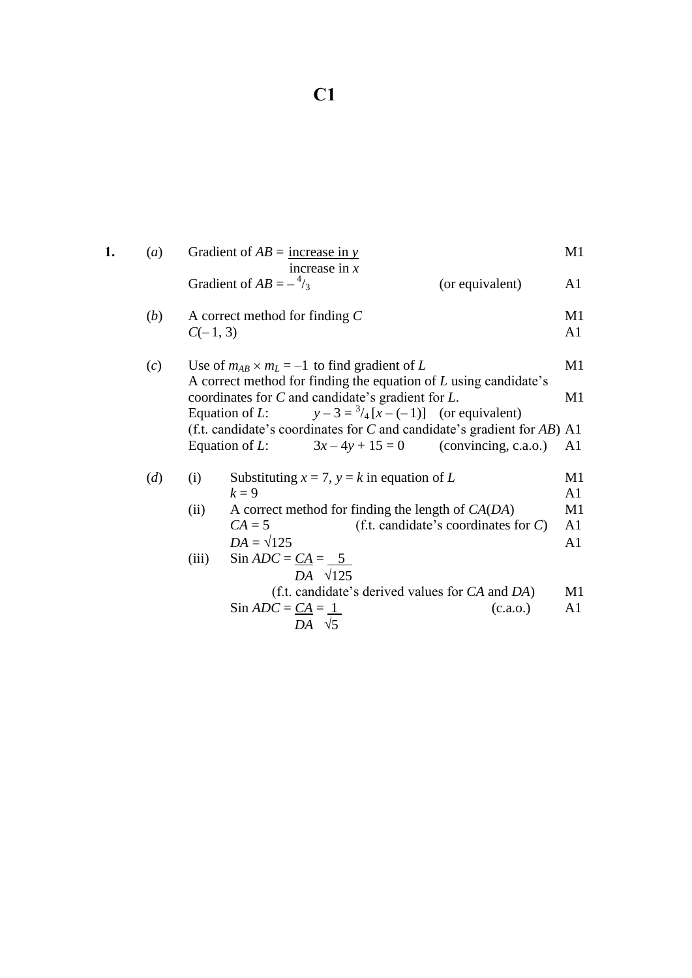| 1. | (a)          |            | Gradient of $AB =$ increase in y |                                                                                                                                                                           |                                         | M1             |
|----|--------------|------------|----------------------------------|---------------------------------------------------------------------------------------------------------------------------------------------------------------------------|-----------------------------------------|----------------|
|    |              |            | Gradient of $AB = -\frac{4}{3}$  | increase in $x$                                                                                                                                                           | (or equivalent)                         | A1             |
|    | ( <i>b</i> ) | $C(-1, 3)$ | A correct method for finding $C$ |                                                                                                                                                                           |                                         | M1<br>A1       |
|    | (c)          |            |                                  | Use of $m_{AB} \times m_L = -1$ to find gradient of L                                                                                                                     |                                         | M1             |
|    |              |            | Equation of $L$ :                | A correct method for finding the equation of $L$ using candidate's<br>coordinates for $C$ and candidate's gradient for $L$ .<br>$y-3=\frac{3}{4}[x-(-1)]$ (or equivalent) |                                         | M1             |
|    |              |            |                                  | (f.t. candidate's coordinates for $C$ and candidate's gradient for $AB$ ) A1                                                                                              |                                         |                |
|    |              |            |                                  | Equation of L: $3x-4y+15=0$ (convincing, c.a.o.)                                                                                                                          |                                         | A1             |
|    | (d)          | (i)        |                                  | Substituting $x = 7$ , $y = k$ in equation of L                                                                                                                           |                                         | M1             |
|    |              |            | $k=9$                            |                                                                                                                                                                           |                                         | A <sub>1</sub> |
|    |              | (ii)       |                                  | A correct method for finding the length of $CA(DA)$                                                                                                                       |                                         | M1             |
|    |              |            | $CA = 5$                         |                                                                                                                                                                           | (f.t. candidate's coordinates for $C$ ) | A1             |
|    |              |            | $DA = \sqrt{125}$                |                                                                                                                                                                           |                                         | A <sub>1</sub> |
|    |              | (iii)      | Sin $ADC = CA = 5$               | $DA$ $\sqrt{125}$                                                                                                                                                         |                                         |                |
|    |              |            |                                  | (f.t. candidate's derived values for CA and DA)                                                                                                                           |                                         | M1             |
|    |              |            | Sin $ADC = CA = 1$               |                                                                                                                                                                           | (c.a.o.)                                | A <sub>1</sub> |
|    |              |            |                                  | DA $\sqrt{5}$                                                                                                                                                             |                                         |                |
|    |              |            |                                  |                                                                                                                                                                           |                                         |                |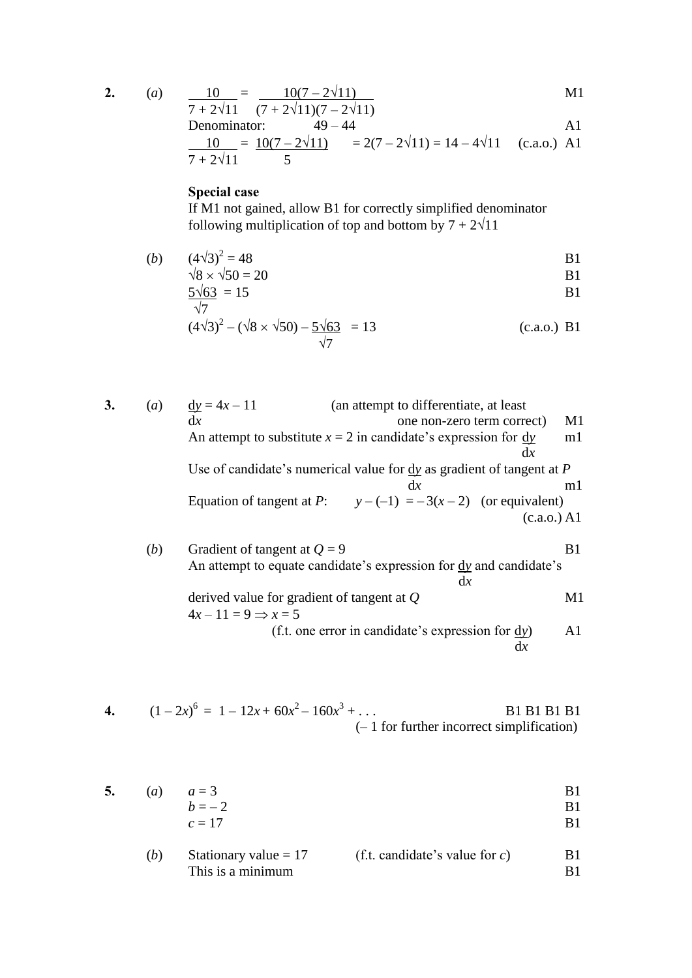$$
2. \hspace{20pt}
$$

2. (a) 
$$
\frac{10}{7+2\sqrt{11}} = \frac{10(7-2\sqrt{11})}{(7+2\sqrt{11})(7-2\sqrt{11})}
$$
   
M1

Denominator:  $49-44$  A1

$$
\frac{10}{7+2\sqrt{11}} = \frac{10(7-2\sqrt{11})}{5} = 2(7-2\sqrt{11}) = 14-4\sqrt{11}
$$
 (c.a.o.) A1

## **Special case**

If M1 not gained, allow B1 for correctly simplified denominator following multiplication of top and bottom by  $7 + 2\sqrt{11}$ 

(*b*)  $(4\sqrt{3})^2 = 48$  $= 48$  B1

$$
\sqrt{8} \times \sqrt{50} = 20
$$
 B1

$$
\frac{5\sqrt{63}}{\sqrt{7}} = 15
$$
 B1

$$
(4\sqrt{3})^2 - (\sqrt{8} \times \sqrt{50}) - \frac{5\sqrt{63}}{\sqrt{7}} = 13
$$
 (c.a.o.) B1

3. (a) 
$$
\frac{dy}{dx} = 4x - 11
$$
 (an attempt to differentiate, at least one non-zero term correct) M1  
\nAn attempt to substitute  $x = 2$  in candidate's expression for  $\frac{dy}{dx}$  m1  
\nUse of candidate's numerical value for  $\frac{dy}{dx}$  as gradient of tangent at *P* m1  
\nEquation of tangent at *P*:  $y - (-1) = -3(x - 2)$  (or equivalent)  
\n(c.a.o.) A1  
\n(a)  $y - (-1) = -3(x - 2)$  (or equivalent)  
\n(c.a.o.) A1  
\n(b) Gradient of tangent at *Q* B1  
\nAn attempt to equate candidate's expression for  $\frac{dy}{dx}$  and candidate's  
\nderived value for gradient of tangent at *Q* M1  
\n $4x - 11 = 9 \Rightarrow x = 5$   
\n(f.t. one error in candidate's expression for  $\frac{dy}{dx}$  A1

4. 
$$
(1-2x)^6 = 1 - 12x + 60x^2 - 160x^3 + ...
$$
  
\n $(-1 \text{ for further incorrect simplification})$ 

5. (a) 
$$
a = 3
$$
  
  $b = -2$  B1

$$
c = 17
$$

(b) Stationary value = 17 (f.t. candidate's value for 
$$
c
$$
) B1  
This is a minimum B1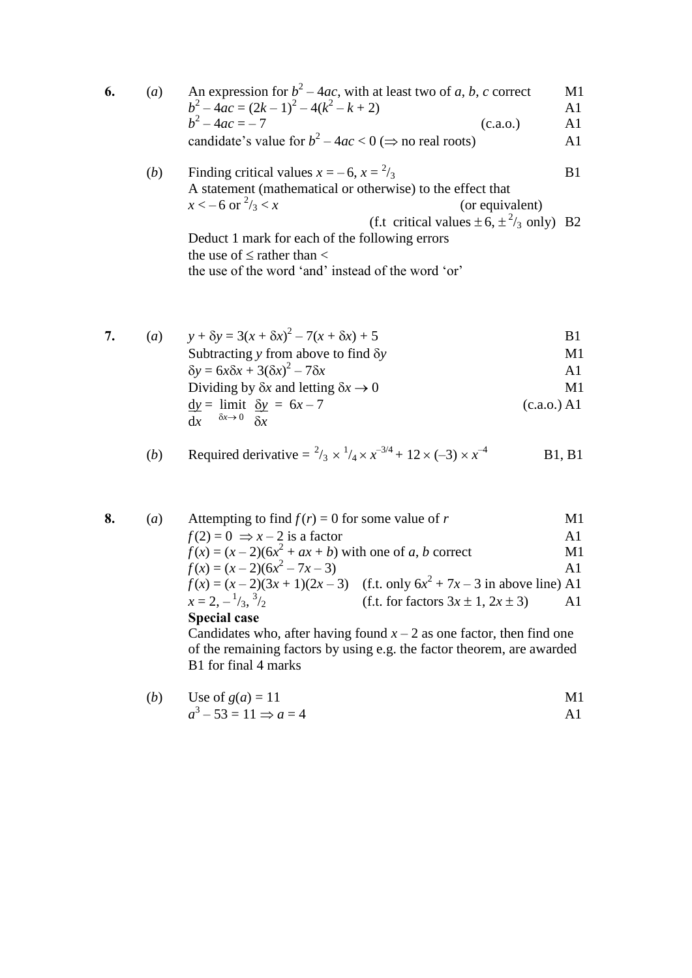| 6. | (a) | An expression for $b^2 - 4ac$ , with at least two of a, b, c correct | M1             |
|----|-----|----------------------------------------------------------------------|----------------|
|    |     | $b^2-4ac = (2k-1)^2 - 4(k^2 - k + 2)$                                | A1             |
|    |     | $h^2 - 4ac = -7$<br>(c.a.0.)                                         | A1             |
|    |     | candidate's value for $b^2 - 4ac < 0 \implies$ no real roots)        | A <sub>1</sub> |
|    | (b) | Finding critical values $x = -6$ , $x = \frac{2}{3}$                 | <b>B</b> 1     |
|    |     | A statement (mathematical or otherwise) to the effect that           |                |
|    |     | $x < -6$ or $\frac{2}{3} < x$<br>(or equivalent)                     |                |
|    |     | (f.t critical values $\pm 6$ , $\pm \frac{2}{3}$ only) B2            |                |
|    |     | Deduct 1 mark for each of the following errors                       |                |
|    |     | the use of $\leq$ rather than $\lt$                                  |                |

the use of the word 'and' instead of the word 'or'

|  | (a) | $y + \delta y = 3(x + \delta x)^2 - 7(x + \delta x) + 5$                                             | B1          |
|--|-----|------------------------------------------------------------------------------------------------------|-------------|
|  |     | Subtracting y from above to find $\delta y$                                                          | M1          |
|  |     | $\delta y = 6x\delta x + 3(\delta x)^2 - 7\delta x$                                                  | A1.         |
|  |     | Dividing by $\delta x$ and letting $\delta x \rightarrow 0$                                          | M1          |
|  |     | $\frac{dy}{dx} = \lim_{x \to 0} \frac{dy}{dx} = 6x - 7$<br>$\delta x \rightarrow 0$ $\delta x$<br>dx | (c.a.o.) A1 |

(b) Required derivative = 
$$
{}^2/\_3 \times {}^1/\_4 \times x^{-3/4} + 12 \times (-3) \times x^{-4}
$$
 B1, B1

| 8. | $\left( a\right)$ | Attempting to find $f(r) = 0$ for some value of r                   |                                                                          | M1             |  |
|----|-------------------|---------------------------------------------------------------------|--------------------------------------------------------------------------|----------------|--|
|    |                   | $f(2) = 0 \Rightarrow x - 2$ is a factor                            |                                                                          | A <sub>1</sub> |  |
|    |                   | $f(x) = (x-2)(6x^2 + ax + b)$ with one of a, b correct              |                                                                          | M1             |  |
|    |                   | $f(x) = (x-2)(6x^2 - 7x - 3)$                                       |                                                                          | $\mathbf{A}1$  |  |
|    |                   |                                                                     | $f(x) = (x-2)(3x + 1)(2x-3)$ (f.t. only $6x2 + 7x - 3$ in above line) A1 |                |  |
|    |                   | $x=2,-\frac{1}{3},\frac{3}{2}$                                      | (f.t. for factors $3x \pm 1$ , $2x \pm 3$ )                              | A1             |  |
|    |                   | <b>Special case</b>                                                 |                                                                          |                |  |
|    |                   | Candidates who after having found $r-2$ as one factor then find one |                                                                          |                |  |

Candidates who, after having found  $x - 2$  as one factor, then find one of the remaining factors by using e.g. the factor theorem, are awarded B1 for final 4 marks

(b) Use of 
$$
g(a) = 11
$$
  
\n $a^3 - 53 = 11 \Rightarrow a = 4$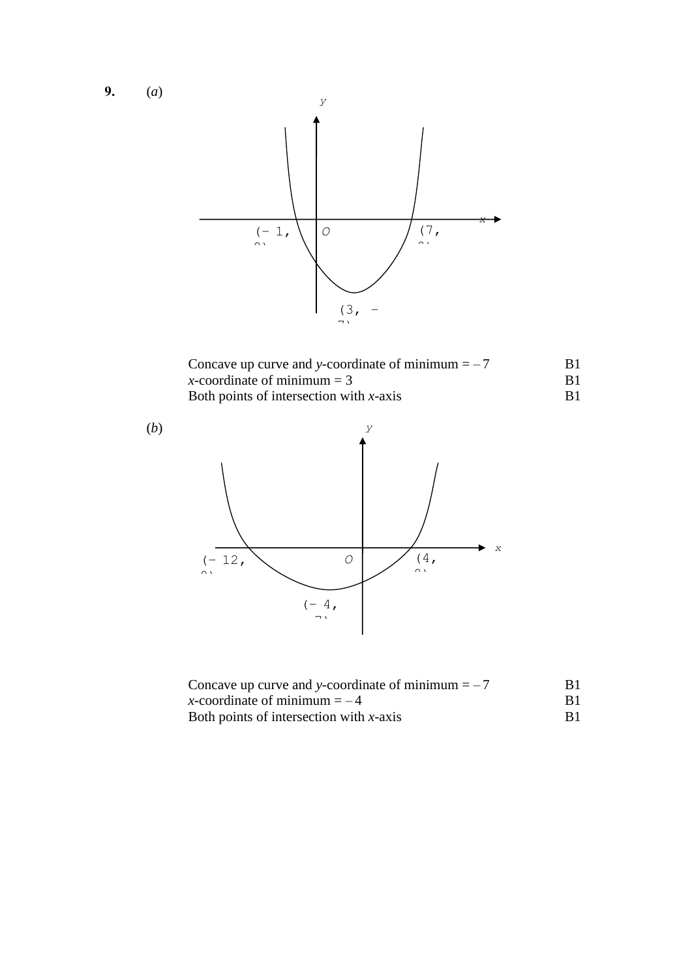**9.** (*a*)



| Concave up curve and y-coordinate of minimum $=-7$ | B1. |
|----------------------------------------------------|-----|
| x-coordinate of minimum $=$ 3                      |     |
| Both points of intersection with $x$ -axis         |     |



| Concave up curve and y-coordinate of minimum $=-7$ | R1 |
|----------------------------------------------------|----|
| x-coordinate of minimum $=-4$                      |    |
| Both points of intersection with $x$ -axis         | B1 |